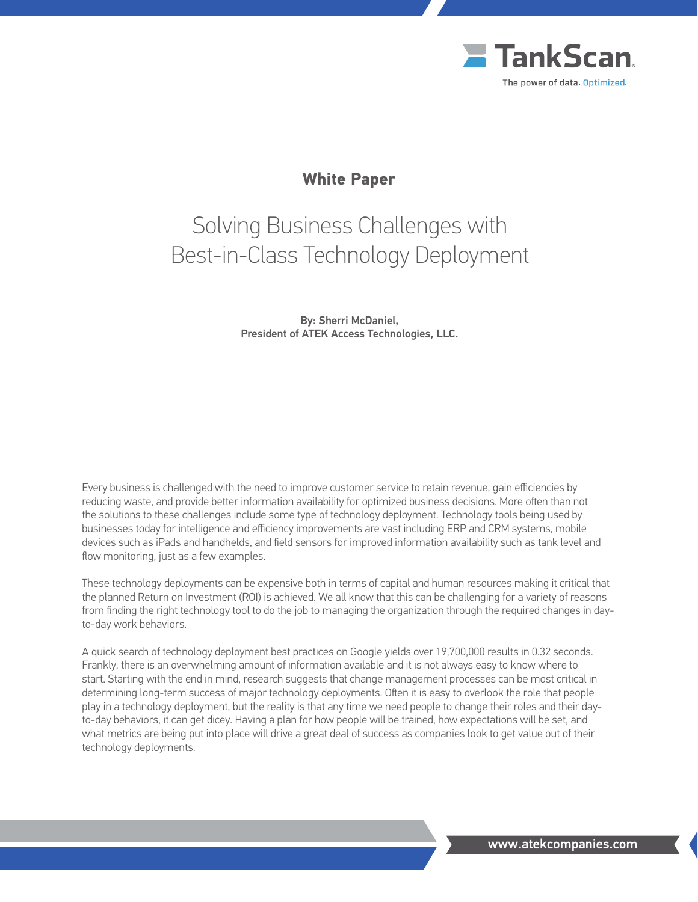

# **White Paper**

# Solving Business Challenges with Best-in-Class Technology Deployment

By: Sherri McDaniel, President of ATEK Access Technologies, LLC.

Every business is challenged with the need to improve customer service to retain revenue, gain efficiencies by reducing waste, and provide better information availability for optimized business decisions. More often than not the solutions to these challenges include some type of technology deployment. Technology tools being used by businesses today for intelligence and efficiency improvements are vast including ERP and CRM systems, mobile devices such as iPads and handhelds, and field sensors for improved information availability such as tank level and flow monitoring, just as a few examples.

These technology deployments can be expensive both in terms of capital and human resources making it critical that the planned Return on Investment (ROI) is achieved. We all know that this can be challenging for a variety of reasons from finding the right technology tool to do the job to managing the organization through the required changes in dayto-day work behaviors.

A quick search of technology deployment best practices on Google yields over 19,700,000 results in 0.32 seconds. Frankly, there is an overwhelming amount of information available and it is not always easy to know where to start. Starting with the end in mind, research suggests that change management processes can be most critical in determining long-term success of major technology deployments. Often it is easy to overlook the role that people play in a technology deployment, but the reality is that any time we need people to change their roles and their dayto-day behaviors, it can get dicey. Having a plan for how people will be trained, how expectations will be set, and what metrics are being put into place will drive a great deal of success as companies look to get value out of their technology deployments.

www.atekcompanies.com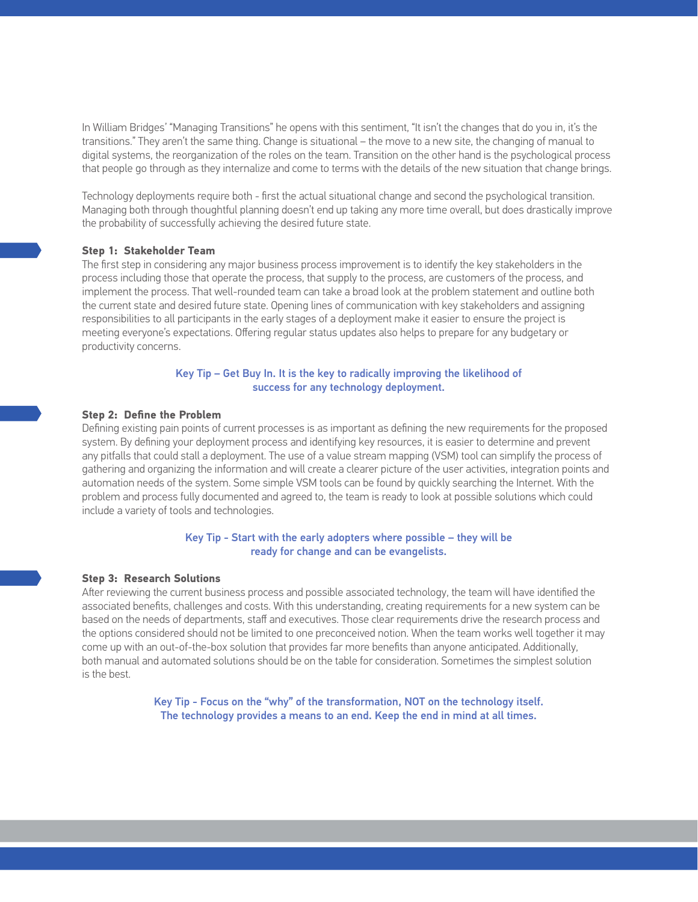In William Bridges' "Managing Transitions" he opens with this sentiment, "It isn't the changes that do you in, it's the transitions." They aren't the same thing. Change is situational – the move to a new site, the changing of manual to digital systems, the reorganization of the roles on the team. Transition on the other hand is the psychological process that people go through as they internalize and come to terms with the details of the new situation that change brings.

Technology deployments require both - first the actual situational change and second the psychological transition. Managing both through thoughtful planning doesn't end up taking any more time overall, but does drastically improve the probability of successfully achieving the desired future state.

#### **Step 1: Stakeholder Team**

The first step in considering any major business process improvement is to identify the key stakeholders in the process including those that operate the process, that supply to the process, are customers of the process, and implement the process. That well-rounded team can take a broad look at the problem statement and outline both the current state and desired future state. Opening lines of communication with key stakeholders and assigning responsibilities to all participants in the early stages of a deployment make it easier to ensure the project is meeting everyone's expectations. Offering regular status updates also helps to prepare for any budgetary or productivity concerns.

### Key Tip – Get Buy In. It is the key to radically improving the likelihood of success for any technology deployment.

#### **Step 2: Define the Problem**

Defining existing pain points of current processes is as important as defining the new requirements for the proposed system. By defining your deployment process and identifying key resources, it is easier to determine and prevent any pitfalls that could stall a deployment. The use of a value stream mapping (VSM) tool can simplify the process of gathering and organizing the information and will create a clearer picture of the user activities, integration points and automation needs of the system. Some simple VSM tools can be found by quickly searching the Internet. With the problem and process fully documented and agreed to, the team is ready to look at possible solutions which could include a variety of tools and technologies.

# Key Tip - Start with the early adopters where possible – they will be ready for change and can be evangelists.

#### **Step 3: Research Solutions**

After reviewing the current business process and possible associated technology, the team will have identified the associated benefits, challenges and costs. With this understanding, creating requirements for a new system can be based on the needs of departments, staff and executives. Those clear requirements drive the research process and the options considered should not be limited to one preconceived notion. When the team works well together it may come up with an out-of-the-box solution that provides far more benefits than anyone anticipated. Additionally, both manual and automated solutions should be on the table for consideration. Sometimes the simplest solution is the best.

> Key Tip - Focus on the "why" of the transformation, NOT on the technology itself. The technology provides a means to an end. Keep the end in mind at all times.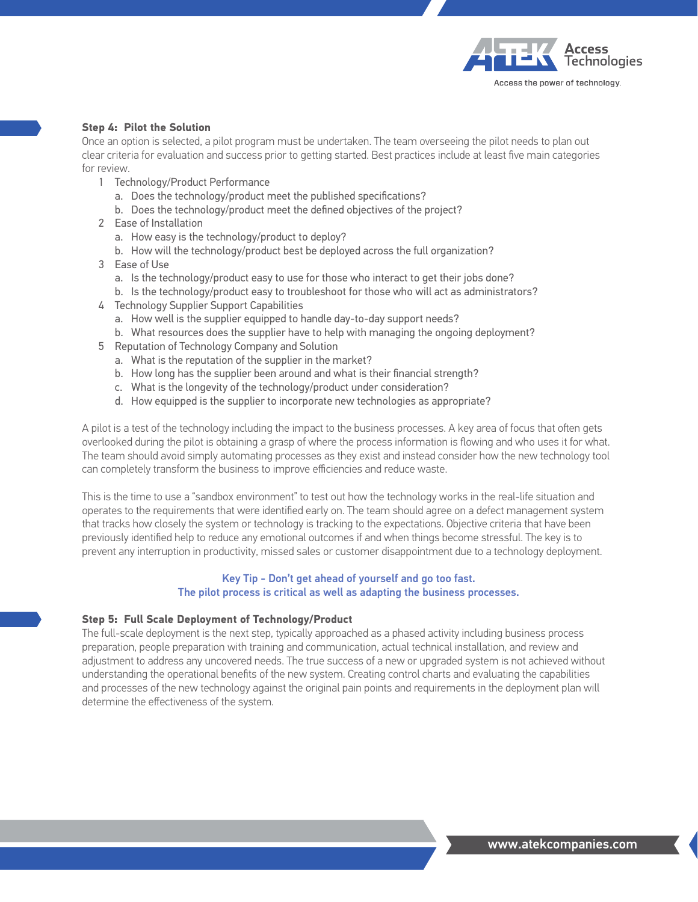

### **Step 4: Pilot the Solution**

Once an option is selected, a pilot program must be undertaken. The team overseeing the pilot needs to plan out clear criteria for evaluation and success prior to getting started. Best practices include at least five main categories for review.

- 1 Technology/Product Performance
	- a. Does the technology/product meet the published specifications?
	- b. Does the technology/product meet the defined objectives of the project?
- 2 Ease of Installation
	- a. How easy is the technology/product to deploy?
	- b. How will the technology/product best be deployed across the full organization?
- 3 Ease of Use
	- a. Is the technology/product easy to use for those who interact to get their jobs done?
	- b. Is the technology/product easy to troubleshoot for those who will act as administrators?
- 4 Technology Supplier Support Capabilities
	- a. How well is the supplier equipped to handle day-to-day support needs?
	- b. What resources does the supplier have to help with managing the ongoing deployment?
- 5 Reputation of Technology Company and Solution
	- a. What is the reputation of the supplier in the market?
	- b. How long has the supplier been around and what is their financial strength?
	- c. What is the longevity of the technology/product under consideration?
	- d. How equipped is the supplier to incorporate new technologies as appropriate?

A pilot is a test of the technology including the impact to the business processes. A key area of focus that often gets overlooked during the pilot is obtaining a grasp of where the process information is flowing and who uses it for what. The team should avoid simply automating processes as they exist and instead consider how the new technology tool can completely transform the business to improve efficiencies and reduce waste.

This is the time to use a "sandbox environment" to test out how the technology works in the real-life situation and operates to the requirements that were identified early on. The team should agree on a defect management system that tracks how closely the system or technology is tracking to the expectations. Objective criteria that have been previously identified help to reduce any emotional outcomes if and when things become stressful. The key is to prevent any interruption in productivity, missed sales or customer disappointment due to a technology deployment.

### Key Tip - Don't get ahead of yourself and go too fast. The pilot process is critical as well as adapting the business processes.

#### **Step 5: Full Scale Deployment of Technology/Product**

The full-scale deployment is the next step, typically approached as a phased activity including business process preparation, people preparation with training and communication, actual technical installation, and review and adjustment to address any uncovered needs. The true success of a new or upgraded system is not achieved without understanding the operational benefits of the new system. Creating control charts and evaluating the capabilities and processes of the new technology against the original pain points and requirements in the deployment plan will determine the effectiveness of the system.